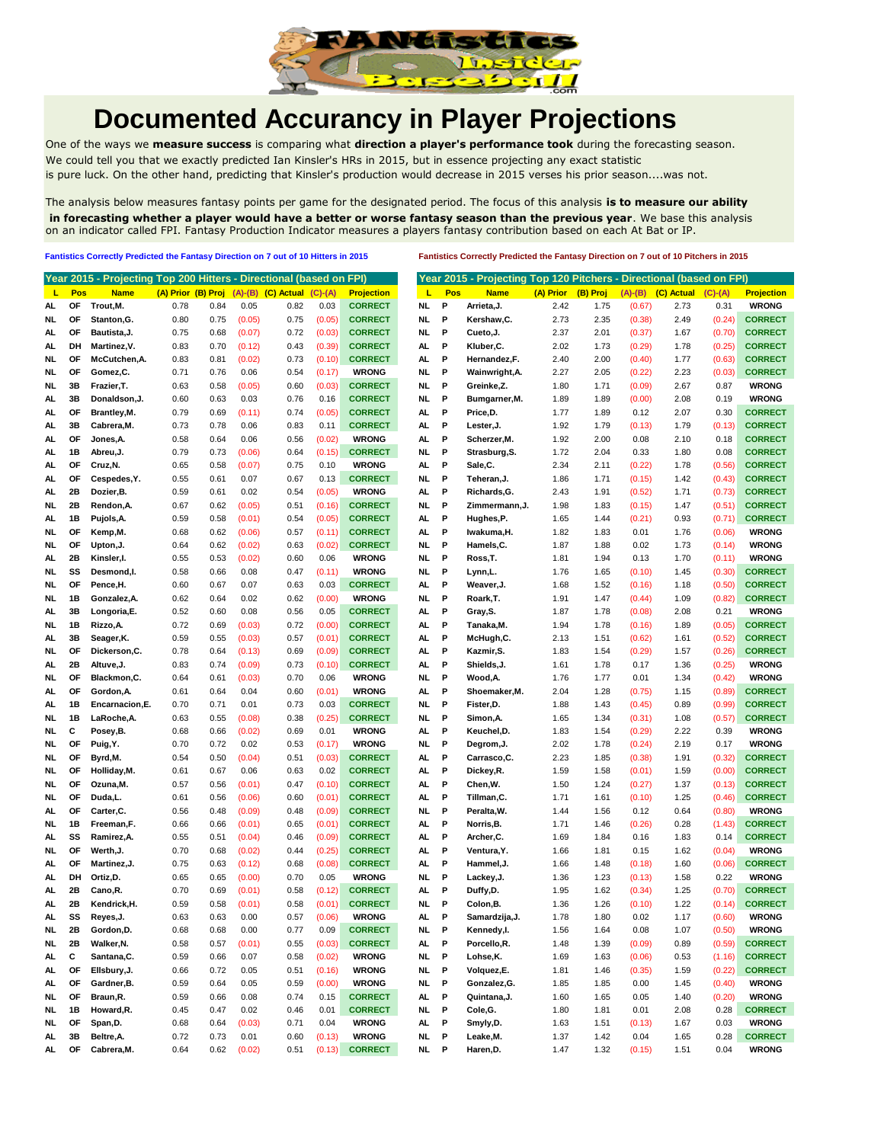

## **Documented Accurancy in Player Projections**

One of the ways we **measure success** is comparing what **direction a player's performance took** during the forecasting season. We could tell you that we exactly predicted Ian Kinsler's HRs in 2015, but in essence projecting any exact statistic is pure luck. On the other hand, predicting that Kinsler's production would decrease in 2015 verses his prior season....was not.

The analysis below measures fantasy points per game for the designated period. The focus of this analysis **is to measure our ability in forecasting whether a player would have a better or worse fantasy season than the previous year**. We base this analysis on an indicator called FPI. Fantasy Production Indicator measures a players fantasy contribution based on each At Bat or IP.

**Fantistics Correctly Predicted the Fantasy Direction on 7 out of 10 Hitters in 2015 Fantistics Correctly Predicted the Fantasy Direction on 7 out of 10 Pitchers in 2015**

|     |           | Year 2015 - Projecting Top 200 Hitters - Directional (based on FPI) |                    |      |                 |                                          |        |                   |           |     | Year 2015 - Projecting Top 120 Pitchers - Directional (based on FPI) |           |          |           |            |           |                   |
|-----|-----------|---------------------------------------------------------------------|--------------------|------|-----------------|------------------------------------------|--------|-------------------|-----------|-----|----------------------------------------------------------------------|-----------|----------|-----------|------------|-----------|-------------------|
| L   | Pos       | <b>Name</b>                                                         | (A) Prior (B) Proj |      |                 | $(A)$ - $(B)$ $(C)$ Actual $(C)$ - $(A)$ |        | <b>Projection</b> | L         | Pos | <b>Name</b>                                                          | (A) Prior | (B) Proj | $(A)-(B)$ | (C) Actual | $(C)-(A)$ | <b>Projection</b> |
| AL  | ΟF        | Trout, M.                                                           | 0.78               | 0.84 | 0.05            | 0.82                                     | 0.03   | <b>CORRECT</b>    | NL        | P   | Arrieta, J.                                                          | 2.42      | 1.75     | (0.67)    | 2.73       | 0.31      | <b>WRONG</b>      |
| NL  | OF        | Stanton, G.                                                         | 0.80               | 0.75 | (0.05)          | 0.75                                     | (0.05) | <b>CORRECT</b>    | NL        | P   | Kershaw,C.                                                           | 2.73      | 2.35     | (0.38)    | 2.49       | (0.24)    | <b>CORRECT</b>    |
| AL  | OF        | Bautista, J.                                                        | 0.75               | 0.68 | (0.07)          | 0.72                                     | (0.03) | <b>CORRECT</b>    | NL        | P   | Cueto, J.                                                            | 2.37      | 2.01     | (0.37)    | 1.67       | (0.70)    | <b>CORRECT</b>    |
| AL. | DH        | Martinez, V.                                                        | 0.83               | 0.70 | (0.12)          | 0.43                                     | (0.39) | <b>CORRECT</b>    | AL.       | P   | Kluber, C.                                                           | 2.02      | 1.73     | (0.29)    | 1.78       | (0.25)    | <b>CORRECT</b>    |
| NL  | ΟF        | McCutchen, A.                                                       | 0.83               | 0.81 | (0.02)          | 0.73                                     | (0.10) | <b>CORRECT</b>    | AL        | Р   | Hernandez,F.                                                         | 2.40      | 2.00     | (0.40)    | 1.77       | (0.63)    | <b>CORRECT</b>    |
| NL  | <b>OF</b> | Gomez,C.                                                            | 0.71               | 0.76 | 0.06            | 0.54                                     | (0.17) | <b>WRONG</b>      | NL.       | P   | Wainwright, A.                                                       | 2.27      | 2.05     | (0.22)    | 2.23       | (0.03)    | <b>CORRECT</b>    |
| NL  | 3В        | Frazier, T.                                                         | 0.63               | 0.58 | (0.05)          | 0.60                                     | (0.03) | <b>CORRECT</b>    | NL        | P   | Greinke,Z.                                                           | 1.80      | 1.71     | (0.09)    | 2.67       | 0.87      | <b>WRONG</b>      |
| AL  | 3В        | Donaldson, J.                                                       | 0.60               | 0.63 | 0.03            | 0.76                                     | 0.16   | <b>CORRECT</b>    | NL.       | P   | Bumgarner, M.                                                        | 1.89      | 1.89     | (0.00)    | 2.08       | 0.19      | <b>WRONG</b>      |
| AL  | OF        | Brantley, M.                                                        | 0.79               | 0.69 | (0.11)          | 0.74                                     | (0.05) | <b>CORRECT</b>    | AL        | P   | Price,D.                                                             | 1.77      | 1.89     | 0.12      | 2.07       | 0.30      | <b>CORRECT</b>    |
| AL  | 3В        | Cabrera, M.                                                         | 0.73               | 0.78 | 0.06            | 0.83                                     | 0.11   | <b>CORRECT</b>    | AL        | P   | Lester, J.                                                           | 1.92      | 1.79     | (0.13)    | 1.79       | (0.13)    | <b>CORRECT</b>    |
| AL  | ΟF        | Jones,A.                                                            | 0.58               | 0.64 | 0.06            | 0.56                                     | (0.02) | <b>WRONG</b>      | AL.       | P   | Scherzer, M.                                                         | 1.92      | 2.00     | 0.08      | 2.10       | 0.18      | <b>CORRECT</b>    |
| AL. | 1B        | Abreu, J.                                                           | 0.79               | 0.73 | (0.06)          | 0.64                                     | (0.15) | <b>CORRECT</b>    | NL        | P   | Strasburg, S.                                                        | 1.72      | 2.04     | 0.33      | 1.80       | 0.08      | <b>CORRECT</b>    |
| AL  | OF        | Cruz, N.                                                            | 0.65               | 0.58 | (0.07)          | 0.75                                     | 0.10   | <b>WRONG</b>      | AL.       | P   | Sale,C.                                                              | 2.34      | 2.11     | (0.22)    | 1.78       | (0.56)    | <b>CORRECT</b>    |
| AL  | OF        | Cespedes, Y.                                                        | 0.55               | 0.61 | 0.07            | 0.67                                     | 0.13   | <b>CORRECT</b>    | NL        | P   | Teheran, J.                                                          | 1.86      | 1.71     | (0.15)    | 1.42       | (0.43)    | <b>CORRECT</b>    |
|     | 2B        |                                                                     | 0.59               | 0.61 | 0.02            | 0.54                                     | (0.05) | <b>WRONG</b>      | AL.       | P   | Richards, G.                                                         | 2.43      | 1.91     | (0.52)    | 1.71       | (0.73)    | <b>CORRECT</b>    |
| AL  | 2B        | Dozier, B.                                                          | 0.67               |      | (0.05)          | 0.51                                     |        | <b>CORRECT</b>    | NL        | P   |                                                                      | 1.98      | 1.83     | (0.15)    | 1.47       |           | <b>CORRECT</b>    |
| NL  |           | Rendon, A.                                                          |                    | 0.62 |                 |                                          | (0.16) |                   |           |     | Zimmermann, J.                                                       |           |          |           |            | (0.51)    |                   |
| AL  | 1B        | Pujols, A.                                                          | 0.59               | 0.58 | (0.01)          | 0.54                                     | (0.05) | <b>CORRECT</b>    | AL.       | P   | Hughes,P.                                                            | 1.65      | 1.44     | (0.21)    | 0.93       | (0.71)    | <b>CORRECT</b>    |
| NL  | ΟF        | Kemp,M.                                                             | 0.68               | 0.62 | (0.06)          | 0.57                                     | (0.11) | <b>CORRECT</b>    | AL.       | P   | Iwakuma, H.                                                          | 1.82      | 1.83     | 0.01      | 1.76       | (0.06)    | <b>WRONG</b>      |
| NL  | ΟF        | Upton, J.                                                           | 0.64               | 0.62 | (0.02)          | 0.63                                     | (0.02) | <b>CORRECT</b>    | NL.       | P   | Hamels, C.                                                           | 1.87      | 1.88     | 0.02      | 1.73       | (0.14)    | <b>WRONG</b>      |
| AL. | 2Β        | Kinsler,I.                                                          | 0.55               | 0.53 | (0.02)          | 0.60                                     | 0.06   | <b>WRONG</b>      | NL.       | P   | Ross, T.                                                             | 1.81      | 1.94     | 0.13      | 1.70       | (0.11)    | <b>WRONG</b>      |
| NL  | SS        | Desmond,I.                                                          | 0.58               | 0.66 | 0.08            | 0.47                                     | (0.11) | <b>WRONG</b>      | NL.       | P   | Lynn, L.                                                             | 1.76      | 1.65     | (0.10)    | 1.45       | (0.30)    | <b>CORRECT</b>    |
| NL  | OF        | Pence, H.                                                           | 0.60               | 0.67 | 0.07            | 0.63                                     | 0.03   | <b>CORRECT</b>    | AL        | P   | Weaver, J.                                                           | 1.68      | 1.52     | (0.16)    | 1.18       | (0.50)    | <b>CORRECT</b>    |
| NL  | 1B        | Gonzalez, A.                                                        | 0.62               | 0.64 | 0.02            | 0.62                                     | (0.00) | <b>WRONG</b>      | NL        | P   | Roark, T.                                                            | 1.91      | 1.47     | (0.44)    | 1.09       | (0.82)    | <b>CORRECT</b>    |
| AL  | 3В        | Longoria,E.                                                         | 0.52               | 0.60 | 0.08            | 0.56                                     | 0.05   | <b>CORRECT</b>    | AL        | P   | Gray, S.                                                             | 1.87      | 1.78     | (0.08)    | 2.08       | 0.21      | <b>WRONG</b>      |
| NL  | 1B        | Rizzo, A.                                                           | 0.72               | 0.69 | (0.03)          | 0.72                                     | (0.00) | <b>CORRECT</b>    | AL.       | P   | Tanaka, M.                                                           | 1.94      | 1.78     | (0.16)    | 1.89       | (0.05)    | <b>CORRECT</b>    |
| AL. | 3B        | Seager, K.                                                          | 0.59               | 0.55 | (0.03)          | 0.57                                     | (0.01) | <b>CORRECT</b>    | AL.       | P   | McHugh, C.                                                           | 2.13      | 1.51     | (0.62)    | 1.61       | (0.52)    | <b>CORRECT</b>    |
| NL  | OF        | Dickerson, C.                                                       | 0.78               | 0.64 | (0.13)          | 0.69                                     | (0.09) | <b>CORRECT</b>    | AL.       | P   | Kazmir, S.                                                           | 1.83      | 1.54     | (0.29)    | 1.57       | (0.26)    | <b>CORRECT</b>    |
| AL  | 2Β        | Altuve, J.                                                          | 0.83               | 0.74 | (0.09)          | 0.73                                     | (0.10) | <b>CORRECT</b>    | AL        | P   | Shields, J.                                                          | 1.61      | 1.78     | 0.17      | 1.36       | (0.25)    | <b>WRONG</b>      |
| NL  | <b>OF</b> | Blackmon, C.                                                        | 0.64               | 0.61 | (0.03)          | 0.70                                     | 0.06   | <b>WRONG</b>      | NL        | P   | Wood, A.                                                             | 1.76      | 1.77     | 0.01      | 1.34       | (0.42)    | <b>WRONG</b>      |
| AL  | OF        | Gordon, A.                                                          | 0.61               | 0.64 | 0.04            | 0.60                                     | (0.01) | <b>WRONG</b>      | AL.       | P   | Shoemaker, M.                                                        | 2.04      | 1.28     | (0.75)    | 1.15       | (0.89)    | <b>CORRECT</b>    |
| AL  | 1B        | Encarnacion, E.                                                     | 0.70               | 0.71 | 0.01            | 0.73                                     | 0.03   | <b>CORRECT</b>    | NL        | P   | Fister,D.                                                            | 1.88      | 1.43     | (0.45)    | 0.89       | (0.99)    | <b>CORRECT</b>    |
| NL  | 1B        | LaRoche, A.                                                         | 0.63               | 0.55 | (0.08)          | 0.38                                     | (0.25) | <b>CORRECT</b>    | NL        | P   | Simon, A.                                                            | 1.65      | 1.34     | (0.31)    | 1.08       | (0.57)    | <b>CORRECT</b>    |
| NL  | c         | Posey,B.                                                            | 0.68               | 0.66 | (0.02)          | 0.69                                     | 0.01   | <b>WRONG</b>      | AL.       | P   | Keuchel,D.                                                           | 1.83      | 1.54     | (0.29)    | 2.22       | 0.39      | <b>WRONG</b>      |
| NL  | ΟF        | Puig, Y.                                                            | 0.70               | 0.72 | 0.02            | 0.53                                     | (0.17) | <b>WRONG</b>      | NL.       | P   | Degrom, J.                                                           | 2.02      | 1.78     | (0.24)    | 2.19       | 0.17      | <b>WRONG</b>      |
| NL  | ΟF        | Byrd, M.                                                            | 0.54               | 0.50 | (0.04)          | 0.51                                     | (0.03) | <b>CORRECT</b>    | AL        | P   | Carrasco, C.                                                         | 2.23      | 1.85     | (0.38)    | 1.91       | (0.32)    | <b>CORRECT</b>    |
| NL  | <b>OF</b> | Holliday, M.                                                        | 0.61               | 0.67 | 0.06            | 0.63                                     | 0.02   | <b>CORRECT</b>    | AL        | P   | Dickey,R.                                                            | 1.59      | 1.58     | (0.01)    | 1.59       | (0.00)    | <b>CORRECT</b>    |
| NL  | OF        | Ozuna, M.                                                           | 0.57               | 0.56 | (0.01)          | 0.47                                     | (0.10) | <b>CORRECT</b>    | AL        | P   | Chen, W.                                                             | 1.50      | 1.24     | (0.27)    | 1.37       | (0.13)    | <b>CORRECT</b>    |
| NL  | OF        | Duda, L.                                                            | 0.61               | 0.56 | (0.06)          | 0.60                                     | (0.01) | <b>CORRECT</b>    | AL        | P   | Tillman,C.                                                           | 1.71      | 1.61     | (0.10)    | 1.25       | (0.46)    | <b>CORRECT</b>    |
| AL. | OF        | Carter, C.                                                          | 0.56               | 0.48 | (0.09)          | 0.48                                     | (0.09) | <b>CORRECT</b>    | NL        | P   | Peralta, W.                                                          | 1.44      | 1.56     | 0.12      | 0.64       | (0.80)    | <b>WRONG</b>      |
| NL  | 1B        | Freeman,F.                                                          | 0.66               | 0.66 | (0.01)          | 0.65                                     | (0.01) | <b>CORRECT</b>    | AL        | P   | Norris, B.                                                           | 1.71      | 1.46     | (0.26)    | 0.28       | (1.43)    | <b>CORRECT</b>    |
| AL. | SS        | Ramirez, A.                                                         | 0.55               | 0.51 | (0.04)          | 0.46                                     | (0.09) | <b>CORRECT</b>    | AL.       | P   | Archer, C.                                                           | 1.69      | 1.84     | 0.16      | 1.83       | 0.14      | <b>CORRECT</b>    |
| NL  | OF        | Werth, J.                                                           | 0.70               | 0.68 | (0.02)          | 0.44                                     | (0.25) | <b>CORRECT</b>    | AL.       | P   | Ventura, Y.                                                          | 1.66      | 1.81     | 0.15      | 1.62       | (0.04)    | <b>WRONG</b>      |
| AL  | OF        | Martinez, J.                                                        | 0.75               | 0.63 | (0.12)          | 0.68                                     | (0.08) | <b>CORRECT</b>    | AL        | P   | Hammel, J.                                                           | 1.66      | 1.48     | (0.18)    | 1.60       | (0.06)    | <b>CORRECT</b>    |
| AL  | DH        | Ortiz, D.                                                           | 0.65               | 0.65 | (0.00)          | 0.70                                     | 0.05   | <b>WRONG</b>      | <b>NL</b> | P   | Lackey, J.                                                           | 1.36      | 1.23     | (0.13)    | 1.58       | 0.22      | <b>WRONG</b>      |
| AL  | 2B        | Cano, R.                                                            | 0.70               | 0.69 | (0.01)          | 0.58                                     | (0.12) | <b>CORRECT</b>    | AL.       | Ρ   | Duffy,D.                                                             | 1.95      | 1.62     | (0.34)    | 1.25       | (0.70)    | <b>CORRECT</b>    |
| AL  | 2Β        | Kendrick, H.                                                        | 0.59               | 0.58 | (0.01)          | 0.58                                     | (0.01) | <b>CORRECT</b>    | NL.       | P   | Colon, B.                                                            | 1.36      | 1.26     | (0.10)    | 1.22       | (0.14)    | <b>CORRECT</b>    |
| AL. | SS        | Reyes, J.                                                           | 0.63               | 0.63 | 0.00            | 0.57                                     | (0.06) | <b>WRONG</b>      | AL.       | P   | Samardzija, J.                                                       | 1.78      | 1.80     | 0.02      | 1.17       | (0.60)    | <b>WRONG</b>      |
| NL  | 2В        | Gordon, D.                                                          | 0.68               | 0.68 | 0.00            | 0.77                                     | 0.09   | <b>CORRECT</b>    | NL        | P   | Kennedy,I.                                                           | 1.56      | 1.64     | 0.08      | 1.07       | (0.50)    | <b>WRONG</b>      |
| NL. | 2Β        | Walker, N.                                                          | 0.58               | 0.57 | (0.01)          | 0.55                                     | (0.03) | <b>CORRECT</b>    | AL        | P   | Porcello,R.                                                          | 1.48      | 1.39     | (0.09)    | 0.89       | (0.59)    | <b>CORRECT</b>    |
| AL. | С         | Santana, C.                                                         | 0.59               | 0.66 | 0.07            | 0.58                                     | (0.02) | <b>WRONG</b>      | NL        | P   | Lohse,K.                                                             | 1.69      | 1.63     | (0.06)    | 0.53       | (1.16)    | <b>CORRECT</b>    |
| AL. | OF        | Ellsbury, J.                                                        | 0.66               | 0.72 | 0.05            | 0.51                                     | (0.16) | <b>WRONG</b>      | NL        | P   | Volquez,E.                                                           | 1.81      | 1.46     | (0.35)    | 1.59       | (0.22)    | <b>CORRECT</b>    |
| AL  | OF        | Gardner, B.                                                         | 0.59               | 0.64 | 0.05            | 0.59                                     | (0.00) | <b>WRONG</b>      | NL        | - P | Gonzalez, G.                                                         | 1.85      | 1.85     | 0.00      | 1.45       | (0.40)    | <b>WRONG</b>      |
| NL. | OF        | Braun, R.                                                           | 0.59               | 0.66 | 0.08            | 0.74                                     | 0.15   | <b>CORRECT</b>    | AL        | P   | Quintana, J.                                                         | 1.60      | 1.65     | 0.05      | 1.40       | (0.20)    | <b>WRONG</b>      |
| NL  | 1B        | Howard, R.                                                          | 0.45               | 0.47 | 0.02            | 0.46                                     | 0.01   | <b>CORRECT</b>    | NL.       | P   | Cole, G.                                                             | 1.80      | 1.81     | 0.01      | 2.08       | 0.28      | <b>CORRECT</b>    |
| NL. | OF        | Span,D.                                                             | 0.68               | 0.64 | (0.03)          | 0.71                                     | 0.04   | <b>WRONG</b>      | AL.       | P   | Smyly,D.                                                             | 1.63      | 1.51     | (0.13)    | 1.67       | 0.03      | <b>WRONG</b>      |
| AL. | 3B        | Beltre, A.                                                          | 0.72               | 0.73 | 0.01            | 0.60                                     | (0.13) | <b>WRONG</b>      | <b>NL</b> | P   | Leake, M.                                                            | 1.37      | 1.42     | 0.04      | 1.65       | 0.28      | <b>CORRECT</b>    |
| AL. |           | OF Cabrera, M.                                                      | 0.64               |      | $0.62$ $(0.02)$ | 0.51                                     | (0.13) | <b>CORRECT</b>    | NL P      |     | Haren, D.                                                            | 1.47      | 1.32     | (0.15)    | 1.51       | 0.04      | <b>WRONG</b>      |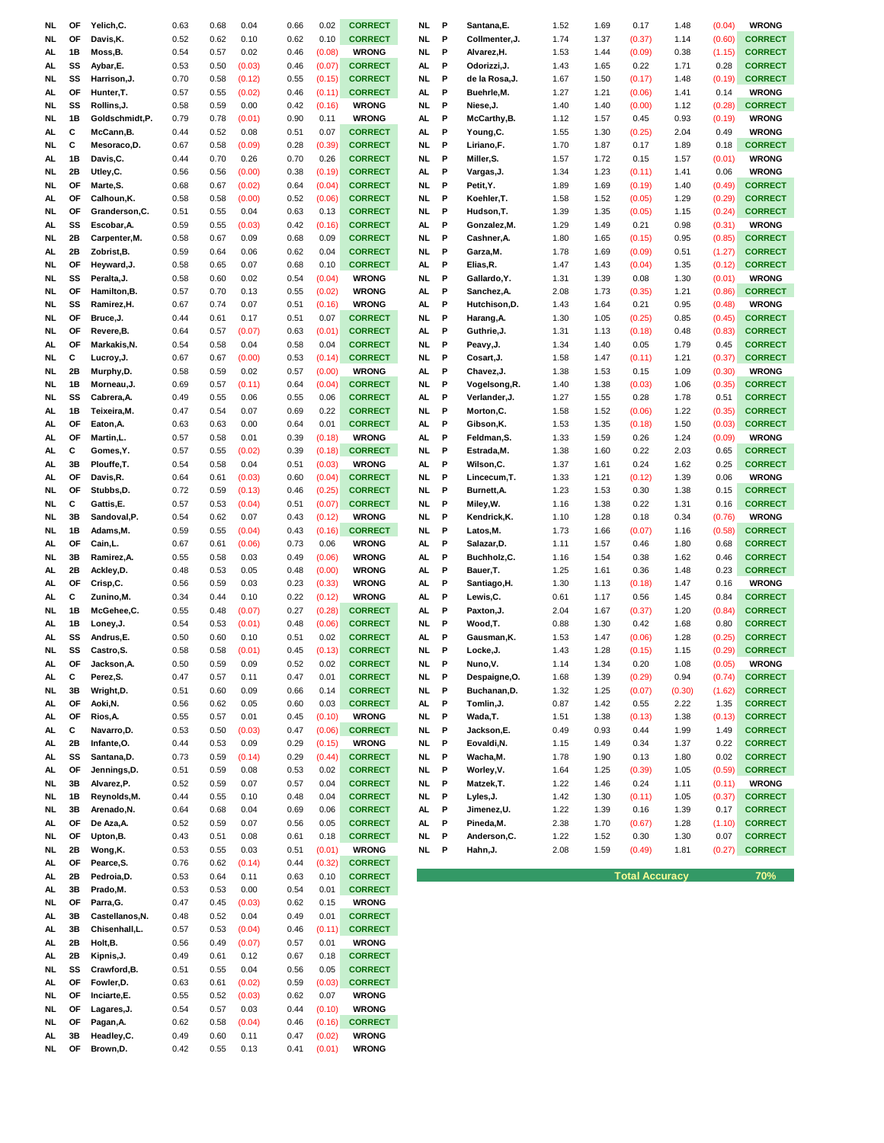| NL        | OF        | Yelich,C.              | 0.63         | 0.68         | 0.04         | 0.66         | 0.02             | <b>CORRECT</b>               | NL        | P | Santana, E.    | 1.52         | 1.69 | 0.17                  | 1.48   | (0.04) | <b>WRONG</b>   |
|-----------|-----------|------------------------|--------------|--------------|--------------|--------------|------------------|------------------------------|-----------|---|----------------|--------------|------|-----------------------|--------|--------|----------------|
| NL.       | OF        | Davis, K.              | 0.52         | 0.62         | 0.10         | 0.62         | 0.10             | <b>CORRECT</b>               | NL        | P | Collmenter, J. | 1.74         | 1.37 | (0.37)                | 1.14   | (0.60) | <b>CORRECT</b> |
| AL.       | 1B        | Moss,B.                | 0.54         | 0.57         | 0.02         | 0.46         | (0.08)           | <b>WRONG</b>                 | NL.       | P | Alvarez,H.     | 1.53         | 1.44 | (0.09)                | 0.38   | (1.15) | <b>CORRECT</b> |
| AL.       | SS        | Aybar, E.              | 0.53         | 0.50         | (0.03)       | 0.46         | (0.07)           | <b>CORRECT</b>               | AL.       | P | Odorizzi, J.   | 1.43         | 1.65 | 0.22                  | 1.71   | 0.28   | <b>CORRECT</b> |
| NL        | SS        | Harrison, J.           | 0.70         | 0.58         | (0.12)       | 0.55         | (0.15)           | <b>CORRECT</b>               | NL.       | P | de la Rosa,J.  | 1.67         | 1.50 | (0.17)                | 1.48   | (0.19) | <b>CORRECT</b> |
| AL.       | OF        | Hunter, T.             | 0.57         | 0.55         | (0.02)       | 0.46         | (0.11)           | <b>CORRECT</b>               | AL        | P | Buehrle,M.     | 1.27         | 1.21 | (0.06)                | 1.41   | 0.14   | <b>WRONG</b>   |
| <b>NL</b> | SS        | Rollins, J.            | 0.58         | 0.59         | 0.00         | 0.42         | (0.16)           | <b>WRONG</b>                 | NL.       | P | Niese, J.      | 1.40         | 1.40 | (0.00)                | 1.12   | (0.28) | <b>CORRECT</b> |
| <b>NL</b> | 1B        | Goldschmidt,P.         | 0.79         | 0.78         | (0.01)       | 0.90         | 0.11             | <b>WRONG</b>                 | AL        | P | McCarthy, B.   | 1.12         | 1.57 | 0.45                  | 0.93   | (0.19) | <b>WRONG</b>   |
| AL.       | С         | McCann, B.             | 0.44         | 0.52         | 0.08         | 0.51         | 0.07             | <b>CORRECT</b>               | AL.       | P | Young,C.       |              | 1.30 |                       | 2.04   | 0.49   | <b>WRONG</b>   |
|           | С         |                        |              |              |              |              |                  | <b>CORRECT</b>               | NL        | P |                | 1.55<br>1.70 |      | (0.25)                |        |        |                |
| NL.       |           | Mesoraco, D.           | 0.67         | 0.58         | (0.09)       | 0.28         | (0.39)           |                              |           |   | Liriano,F.     |              | 1.87 | 0.17                  | 1.89   | 0.18   | <b>CORRECT</b> |
| AL.       | 1B        | Davis,C.               | 0.44         | 0.70         | 0.26         | 0.70         | 0.26             | <b>CORRECT</b>               | NL        | P | Miller,S.      | 1.57         | 1.72 | 0.15                  | 1.57   | (0.01) | <b>WRONG</b>   |
| NL        | 2B        | Utley, C.              | 0.56         | 0.56         | (0.00)       | 0.38         | (0.19)           | <b>CORRECT</b>               | AL.       | P | Vargas,J.      | 1.34         | 1.23 | (0.11)                | 1.41   | 0.06   | <b>WRONG</b>   |
| NL        | ΟF        | Marte, S.              | 0.68         | 0.67         | (0.02)       | 0.64         | (0.04)           | <b>CORRECT</b>               | NL.       | P | Petit, Y.      | 1.89         | 1.69 | (0.19)                | 1.40   | (0.49) | <b>CORRECT</b> |
| AL.       | ΟF        | Calhoun, K.            | 0.58         | 0.58         | (0.00)       | 0.52         | (0.06)           | <b>CORRECT</b>               | NL.       | P | Koehler,T.     | 1.58         | 1.52 | (0.05)                | 1.29   | (0.29) | <b>CORRECT</b> |
| NL        | OF        | Granderson, C.         | 0.51         | 0.55         | 0.04         | 0.63         | 0.13             | <b>CORRECT</b>               | NL        | P | Hudson,T.      | 1.39         | 1.35 | (0.05)                | 1.15   | (0.24) | <b>CORRECT</b> |
| AL.       | SS        | Escobar, A.            | 0.59         | 0.55         | (0.03)       | 0.42         | (0.16)           | <b>CORRECT</b>               | AL        | P | Gonzalez,M.    | 1.29         | 1.49 | 0.21                  | 0.98   | (0.31) | <b>WRONG</b>   |
| NL        | 2Β        | Carpenter, M.          | 0.58         | 0.67         | 0.09         | 0.68         | 0.09             | <b>CORRECT</b>               | NL        | P | Cashner,A.     | 1.80         | 1.65 | (0.15)                | 0.95   | (0.85) | <b>CORRECT</b> |
| AL.       | 2B        | Zobrist, B.            | 0.59         | 0.64         | 0.06         | 0.62         | 0.04             | <b>CORRECT</b>               | NL.       | P | Garza, M.      | 1.78         | 1.69 | (0.09)                | 0.51   | (1.27) | <b>CORRECT</b> |
| NL        | OF        | Heyward, J.            | 0.58         | 0.65         | 0.07         | 0.68         | 0.10             | <b>CORRECT</b>               | AL        | P | Elias, R.      | 1.47         | 1.43 | (0.04)                | 1.35   | (0.12) | <b>CORRECT</b> |
| NL        | SS        | Peralta, J.            | 0.58         | 0.60         | 0.02         | 0.54         | (0.04)           | <b>WRONG</b>                 | NL.       | P | Gallardo, Y.   | 1.31         | 1.39 | 0.08                  | 1.30   | (0.01) | <b>WRONG</b>   |
| NL        | OF        | Hamilton, B.           | 0.57         | 0.70         | 0.13         | 0.55         | (0.02)           | <b>WRONG</b>                 | AL        | P | Sanchez, A.    | 2.08         | 1.73 | (0.35)                | 1.21   | (0.86) | <b>CORRECT</b> |
| <b>NL</b> | SS        | Ramirez, H.            | 0.67         | 0.74         | 0.07         | 0.51         | (0.16)           | <b>WRONG</b>                 | AL        | P | Hutchison, D.  | 1.43         | 1.64 | 0.21                  | 0.95   | (0.48) | <b>WRONG</b>   |
| <b>NL</b> | OF        | Bruce, J.              | 0.44         | 0.61         | 0.17         | 0.51         | 0.07             | <b>CORRECT</b>               | NL.       | P | Harang, A.     | 1.30         | 1.05 | (0.25)                | 0.85   | (0.45) | <b>CORRECT</b> |
| NL.       | OF        | Revere, B.             | 0.64         | 0.57         | (0.07)       | 0.63         | (0.01)           | <b>CORRECT</b>               | AL.       | P | Guthrie, J.    | 1.31         | 1.13 | (0.18)                | 0.48   | (0.83) | <b>CORRECT</b> |
| AL.       | OF        | Markakis, N.           | 0.54         | 0.58         | 0.04         | 0.58         | 0.04             | <b>CORRECT</b>               | NL        | P | Peavy, J.      | 1.34         | 1.40 | 0.05                  | 1.79   | 0.45   | <b>CORRECT</b> |
| NL        | С         | Lucroy, J.             | 0.67         | 0.67         | (0.00)       | 0.53         | (0.14)           | <b>CORRECT</b>               | NL        | P | Cosart,J.      | 1.58         | 1.47 | (0.11)                | 1.21   | (0.37) | <b>CORRECT</b> |
| NL        | 2B        | Murphy,D.              | 0.58         | 0.59         | 0.02         | 0.57         | (0.00)           | <b>WRONG</b>                 | AL.       | P | Chavez, J.     | 1.38         | 1.53 | 0.15                  | 1.09   | (0.30) | <b>WRONG</b>   |
| NL        | 1B        | Morneau, J.            | 0.69         | 0.57         | (0.11)       | 0.64         | (0.04)           | <b>CORRECT</b>               | NL        | P | Vogelsong, R.  | 1.40         | 1.38 | (0.03)                | 1.06   | (0.35) | <b>CORRECT</b> |
| NL.       | SS        | Cabrera, A.            | 0.49         | 0.55         | 0.06         | 0.55         | 0.06             | <b>CORRECT</b>               | AL.       | P | Verlander, J.  | 1.27         | 1.55 | 0.28                  | 1.78   | 0.51   | <b>CORRECT</b> |
|           |           |                        |              |              |              |              |                  |                              |           |   |                |              |      |                       |        |        |                |
| AL.       | 1B        | Teixeira, M.           | 0.47         | 0.54         | 0.07         | 0.69         | 0.22             | <b>CORRECT</b>               | NL        | P | Morton,C.      | 1.58         | 1.52 | (0.06)                | 1.22   | (0.35) | <b>CORRECT</b> |
| AL.       | OF        | Eaton, A.              | 0.63         | 0.63         | 0.00         | 0.64         | 0.01             | <b>CORRECT</b>               | AL        | P | Gibson,K.      | 1.53         | 1.35 | (0.18)                | 1.50   | (0.03) | <b>CORRECT</b> |
| AL.       | OF        | Martin,L.              | 0.57         | 0.58         | 0.01         | 0.39         | (0.18)           | <b>WRONG</b>                 | AL        | P | Feldman,S.     | 1.33         | 1.59 | 0.26                  | 1.24   | (0.09) | <b>WRONG</b>   |
| AL.       | С         | Gomes, Y.              | 0.57         | 0.55         | (0.02)       | 0.39         | (0.18)           | <b>CORRECT</b>               | NL        | P | Estrada,M.     | 1.38         | 1.60 | 0.22                  | 2.03   | 0.65   | <b>CORRECT</b> |
| AL.       | 3B        | Plouffe,T.             | 0.54         | 0.58         | 0.04         | 0.51         | (0.03)           | <b>WRONG</b>                 | AL        | P | Wilson,C.      | 1.37         | 1.61 | 0.24                  | 1.62   | 0.25   | <b>CORRECT</b> |
| AL.       | ΟF        | Davis,R.               | 0.64         | 0.61         | (0.03)       | 0.60         | (0.04)           | <b>CORRECT</b>               | NL        | P | Lincecum, T.   | 1.33         | 1.21 | (0.12)                | 1.39   | 0.06   | <b>WRONG</b>   |
| NL        | ΟF        | Stubbs, D.             | 0.72         | 0.59         | (0.13)       | 0.46         | (0.25)           | <b>CORRECT</b>               | NL.       | P | Burnett, A.    | 1.23         | 1.53 | 0.30                  | 1.38   | 0.15   | <b>CORRECT</b> |
| <b>NL</b> | С         | Gattis,E.              | 0.57         | 0.53         | (0.04)       | 0.51         | (0.07)           | <b>CORRECT</b>               | NL.       | P | Miley,W.       | 1.16         | 1.38 | 0.22                  | 1.31   | 0.16   | <b>CORRECT</b> |
| <b>NL</b> | 3B        | Sandoval, P.           | 0.54         | 0.62         | 0.07         | 0.43         | (0.12)           | <b>WRONG</b>                 | NL.       | P | Kendrick,K.    | 1.10         | 1.28 | 0.18                  | 0.34   | (0.76) | <b>WRONG</b>   |
| NL.       | 1B        | Adams, M.              | 0.59         | 0.55         | (0.04)       | 0.43         | (0.16)           | <b>CORRECT</b>               | NL        | P | Latos, M.      | 1.73         | 1.66 | (0.07)                | 1.16   | (0.58) | <b>CORRECT</b> |
| AL.       | OF        | Cain,L.                | 0.67         | 0.61         | (0.06)       | 0.73         | 0.06             | <b>WRONG</b>                 | AL.       | P | Salazar,D.     | 1.11         | 1.57 | 0.46                  | 1.80   | 0.68   | <b>CORRECT</b> |
| NL        | 3B        | Ramirez, A.            | 0.55         | 0.58         | 0.03         | 0.49         | (0.06)           | <b>WRONG</b>                 | AL.       | P | Buchholz,C.    | 1.16         | 1.54 | 0.38                  | 1.62   | 0.46   | <b>CORRECT</b> |
| AL.       | 2Β        | Ackley, D.             | 0.48         | 0.53         | 0.05         | 0.48         | (0.00)           | <b>WRONG</b>                 | AL.       | P | Bauer,T.       | 1.25         | 1.61 | 0.36                  | 1.48   | 0.23   | <b>CORRECT</b> |
| AL.       | ΟF        | Crisp,C.               | 0.56         | 0.59         | 0.03         | 0.23         | (0.33)           | <b>WRONG</b>                 | AL.       | P | Santiago,H.    | 1.30         | 1.13 | (0.18)                | 1.47   | 0.16   | <b>WRONG</b>   |
| AL.       | С         | Zunino, M.             | 0.34         | 0.44         | 0.10         | 0.22         | (0.12)           | <b>WRONG</b>                 | AL        | P | Lewis,C.       | 0.61         | 1.17 | 0.56                  | 1.45   | 0.84   | <b>CORRECT</b> |
| NL        | 1B        | McGehee,C.             | 0.55         | 0.48         | (0.07)       | 0.27         | (0.28)           | <b>CORRECT</b>               | AL.       | P | Paxton, J.     | 2.04         | 1.67 | (0.37)                | 1.20   | (0.84) | <b>CORRECT</b> |
| AL.       | 1B        | Loney, J.              | 0.54         | 0.53         | (0.01)       | 0.48         | (0.06)           | <b>CORRECT</b>               | NL.       | P | Wood,T.        | 0.88         | 1.30 | 0.42                  | 1.68   | 0.80   | <b>CORRECT</b> |
| AL.       | SS        | Andrus,E.              | 0.50         | 0.60         | 0.10         | 0.51         | 0.02             | <b>CORRECT</b>               | AL.       | P | Gausman,K.     | 1.53         | 1.47 | (0.06)                | 1.28   | (0.25) | <b>CORRECT</b> |
| NL.       | SS        | Castro, S.             | 0.58         | 0.58         | (0.01)       | 0.45         | (0.13)           | <b>CORRECT</b>               | NL.       | P | Locke, J.      | 1.43         | 1.28 | (0.15)                | 1.15   | (0.29) | <b>CORRECT</b> |
| AL.       | <b>OF</b> | Jackson, A.            | 0.50         | 0.59         | 0.09         | 0.52         | 0.02             | <b>CORRECT</b>               | NL        | P | Nuno, V.       | 1.14         | 1.34 | 0.20                  | 1.08   | (0.05) | <b>WRONG</b>   |
| AL        | с         | Perez, S.              | 0.47         | 0.57         | 0.11         | 0.47         | 0.01             | <b>CORRECT</b>               | NL        | P | Despaigne,O.   | 1.68         | 1.39 | (0.29)                | 0.94   | (0.74) | <b>CORRECT</b> |
| <b>NL</b> | 3B        | Wright, D.             | 0.51         | 0.60         | 0.09         | 0.66         | 0.14             | <b>CORRECT</b>               | <b>NL</b> | P | Buchanan, D.   | 1.32         | 1.25 | (0.07)                | (0.30) | (1.62) | <b>CORRECT</b> |
| AL        | OF        | Aoki, N.               | 0.56         | 0.62         | 0.05         | 0.60         | 0.03             | <b>CORRECT</b>               | AL        | P | Tomlin, J.     | 0.87         | 1.42 | 0.55                  | 2.22   | 1.35   | <b>CORRECT</b> |
| AL.       | OF        | Rios, A.               | 0.55         | 0.57         | 0.01         | 0.45         | (0.10)           | <b>WRONG</b>                 | <b>NL</b> | P | Wada, T.       | 1.51         | 1.38 | (0.13)                | 1.38   | (0.13) | <b>CORRECT</b> |
|           |           |                        |              |              |              |              |                  |                              |           |   |                |              |      |                       |        |        |                |
| AL        | С         | Navarro, D.            | 0.53         | 0.50         | (0.03)       | 0.47         | (0.06)           | <b>CORRECT</b>               | NL        | P | Jackson,E.     | 0.49         | 0.93 | 0.44                  | 1.99   | 1.49   | <b>CORRECT</b> |
| AL.       | 2B        | Infante, O.            | 0.44         | 0.53         | 0.09         | 0.29         | (0.15)           | <b>WRONG</b>                 | NL.       | P | Eovaldi, N.    | 1.15         | 1.49 | 0.34                  | 1.37   | 0.22   | <b>CORRECT</b> |
| AL.       | SS        | Santana, D.            | 0.73         | 0.59         | (0.14)       | 0.29         | (0.44)           | <b>CORRECT</b>               | <b>NL</b> | P | Wacha,M.       | 1.78         | 1.90 | 0.13                  | 1.80   | 0.02   | <b>CORRECT</b> |
| AL.       | OF        | Jennings,D.            | 0.51         | 0.59         | 0.08         | 0.53         | 0.02             | <b>CORRECT</b>               | NL        | P | Worley, V.     | 1.64         | 1.25 | (0.39)                | 1.05   | (0.59) | <b>CORRECT</b> |
| NL        | 3B        | Alvarez, P.            | 0.52         | 0.59         | 0.07         | 0.57         | 0.04             | <b>CORRECT</b>               | NL        | P | Matzek, T.     | 1.22         | 1.46 | 0.24                  | 1.11   | (0.11) | <b>WRONG</b>   |
| NL.       | 1B        | Reynolds, M.           | 0.44         | 0.55         | 0.10         | 0.48         | 0.04             | <b>CORRECT</b>               | <b>NL</b> | P | Lyles, J.      | 1.42         | 1.30 | (0.11)                | 1.05   | (0.37) | <b>CORRECT</b> |
| NL.       | 3B        | Arenado, N.            | 0.64         | 0.68         | 0.04         | 0.69         | 0.06             | <b>CORRECT</b>               | AL        | P | Jimenez,U.     | 1.22         | 1.39 | 0.16                  | 1.39   | 0.17   | <b>CORRECT</b> |
| AL.       | OF        | De Aza, A.             | 0.52         | 0.59         | 0.07         | 0.56         | 0.05             | <b>CORRECT</b>               | AL        | P | Pineda,M.      | 2.38         | 1.70 | (0.67)                | 1.28   | (1.10) | <b>CORRECT</b> |
| NL        | OF        | Upton,B.               | 0.43         | 0.51         | 0.08         | 0.61         | 0.18             | <b>CORRECT</b>               | <b>NL</b> | P | Anderson,C.    | 1.22         | 1.52 | 0.30                  | 1.30   | 0.07   | <b>CORRECT</b> |
| NL        | 2B        | Wong,K.                | 0.53         | 0.55         | 0.03         | 0.51         | (0.01)           | <b>WRONG</b>                 | NL.       | P | Hahn, J.       | 2.08         | 1.59 | (0.49)                | 1.81   | (0.27) | <b>CORRECT</b> |
| AL        | OF        | Pearce, S.             | 0.76         | 0.62         | (0.14)       | 0.44         | (0.32)           | <b>CORRECT</b>               |           |   |                |              |      |                       |        |        |                |
| AL.       | 2B        | Pedroia,D.             | 0.53         | 0.64         | 0.11         | 0.63         | 0.10             | <b>CORRECT</b>               |           |   |                |              |      | <b>Total Accuracy</b> |        |        | 70%            |
| AL.       | 3B        | Prado, M.              | 0.53         | 0.53         | 0.00         | 0.54         | 0.01             | <b>CORRECT</b>               |           |   |                |              |      |                       |        |        |                |
| NL.       | OF        | Parra, G.              | 0.47         | 0.45         | (0.03)       | 0.62         | 0.15             | <b>WRONG</b>                 |           |   |                |              |      |                       |        |        |                |
| AL.       | 3B        | Castellanos, N.        | 0.48         | 0.52         | 0.04         | 0.49         | 0.01             | <b>CORRECT</b>               |           |   |                |              |      |                       |        |        |                |
| AL.       | 3B        | Chisenhall,L.          | 0.57         | 0.53         | (0.04)       | 0.46         | (0.11)           | <b>CORRECT</b>               |           |   |                |              |      |                       |        |        |                |
| AL.       |           |                        |              | 0.49         | (0.07)       | 0.57         | 0.01             | <b>WRONG</b>                 |           |   |                |              |      |                       |        |        |                |
| AL.       | 2B        |                        |              |              |              |              |                  |                              |           |   |                |              |      |                       |        |        |                |
|           |           | Holt, B.               | 0.56         |              |              |              |                  |                              |           |   |                |              |      |                       |        |        |                |
|           | 2B        | Kipnis, J.             | 0.49         | 0.61         | 0.12         | 0.67         | 0.18             | <b>CORRECT</b>               |           |   |                |              |      |                       |        |        |                |
| NL.       | SS        | Crawford, B.           | 0.51         | 0.55         | 0.04         | 0.56         | 0.05             | <b>CORRECT</b>               |           |   |                |              |      |                       |        |        |                |
| AL.       | OF        | Fowler, D.             | 0.63         | 0.61         | (0.02)       | 0.59         | (0.03)           | <b>CORRECT</b>               |           |   |                |              |      |                       |        |        |                |
| NL.       | OF        | Inciarte,E.            | 0.55         | 0.52         | (0.03)       | 0.62         | 0.07             | <b>WRONG</b>                 |           |   |                |              |      |                       |        |        |                |
| NL.       | OF        | Lagares, J.            | 0.54         | 0.57         | 0.03         | 0.44         | (0.10)           | <b>WRONG</b>                 |           |   |                |              |      |                       |        |        |                |
| NL        | OF        | Pagan, A.              | 0.62         | 0.58         | (0.04)       | 0.46         | (0.16)           | <b>CORRECT</b>               |           |   |                |              |      |                       |        |        |                |
| AL<br>NL. | 3B<br>OF  | Headley,C.<br>Brown,D. | 0.49<br>0.42 | 0.60<br>0.55 | 0.11<br>0.13 | 0.47<br>0.41 | (0.02)<br>(0.01) | <b>WRONG</b><br><b>WRONG</b> |           |   |                |              |      |                       |        |        |                |